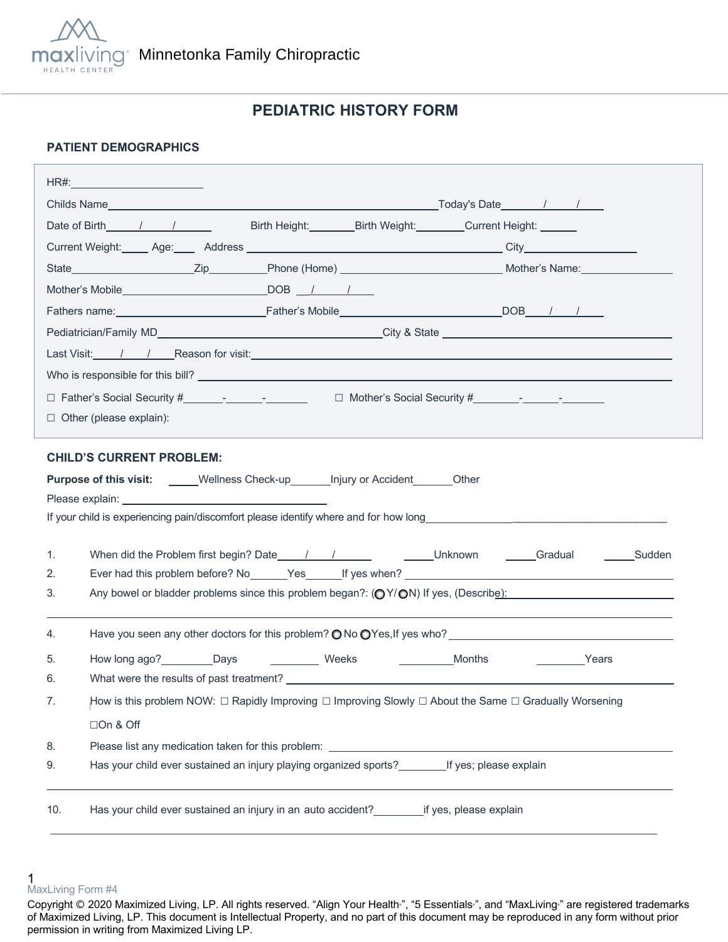

# **PEDIATRIC HISTORY FORM**

### **PATIENT DEMOGRAPHICS**

|                                                                                                                                                                                                                                      | HR#:___________________________                                                                        |  |  |  |
|--------------------------------------------------------------------------------------------------------------------------------------------------------------------------------------------------------------------------------------|--------------------------------------------------------------------------------------------------------|--|--|--|
|                                                                                                                                                                                                                                      |                                                                                                        |  |  |  |
|                                                                                                                                                                                                                                      | Date of Birth 1 1<br>Birth Height: Birth Weight: Current Height: Current Beight:                       |  |  |  |
|                                                                                                                                                                                                                                      |                                                                                                        |  |  |  |
|                                                                                                                                                                                                                                      |                                                                                                        |  |  |  |
|                                                                                                                                                                                                                                      |                                                                                                        |  |  |  |
|                                                                                                                                                                                                                                      |                                                                                                        |  |  |  |
|                                                                                                                                                                                                                                      |                                                                                                        |  |  |  |
| Last Visit: /// Reason for visit: <u>Alexander Control Control Control Control Control Control Control Control Control Control Control Control Control Control Control Control Control Control Control Control Control Control C</u> |                                                                                                        |  |  |  |
|                                                                                                                                                                                                                                      |                                                                                                        |  |  |  |
|                                                                                                                                                                                                                                      |                                                                                                        |  |  |  |
| $\Box$ Other (please explain):                                                                                                                                                                                                       |                                                                                                        |  |  |  |
|                                                                                                                                                                                                                                      |                                                                                                        |  |  |  |
| <b>CHILD'S CURRENT PROBLEM:</b><br><b>Purpose of this visit:</b> _____Wellness Check-up_______ Injury or Accident_______Other                                                                                                        |                                                                                                        |  |  |  |
|                                                                                                                                                                                                                                      |                                                                                                        |  |  |  |
|                                                                                                                                                                                                                                      |                                                                                                        |  |  |  |
| 1.                                                                                                                                                                                                                                   |                                                                                                        |  |  |  |
| 2.                                                                                                                                                                                                                                   |                                                                                                        |  |  |  |
| 3.                                                                                                                                                                                                                                   | Any bowel or bladder problems since this problem began?: (OY/ON) If yes, (Describe):                   |  |  |  |
|                                                                                                                                                                                                                                      |                                                                                                        |  |  |  |
| 4.                                                                                                                                                                                                                                   | Have you seen any other doctors for this problem? $\bigcirc$ No $\bigcirc$ Yes, If yes who?            |  |  |  |
| 5.                                                                                                                                                                                                                                   | How long ago? Days<br>Weeks<br>Months<br><b>Example 2</b> Years                                        |  |  |  |
| 6.                                                                                                                                                                                                                                   |                                                                                                        |  |  |  |
| 7.                                                                                                                                                                                                                                   | How is this problem NOW: □ Rapidly Improving □ Improving Slowly □ About the Same □ Gradually Worsening |  |  |  |
|                                                                                                                                                                                                                                      | □On & Off                                                                                              |  |  |  |
| 8.                                                                                                                                                                                                                                   |                                                                                                        |  |  |  |
| 9.                                                                                                                                                                                                                                   | Has your child ever sustained an injury playing organized sports? If yes; please explain               |  |  |  |
|                                                                                                                                                                                                                                      |                                                                                                        |  |  |  |
| 10.                                                                                                                                                                                                                                  | Has your child ever sustained an injury in an auto accident? _______________if yes, please explain     |  |  |  |
|                                                                                                                                                                                                                                      |                                                                                                        |  |  |  |

<sup>1</sup>  MaxLiving Form #4

Copyright © 2020 Maximized Living, LP. All rights reserved. "Align Your Health<sup>®</sup>, "5 Essentials<sup>®</sup>, and "MaxLiving<sup>®</sup> are registered trademarks of Maximized Living, LP. This document is Intellectual Property, and no part of this document may be reproduced in any form without prior permission in writing from Maximized Living LP.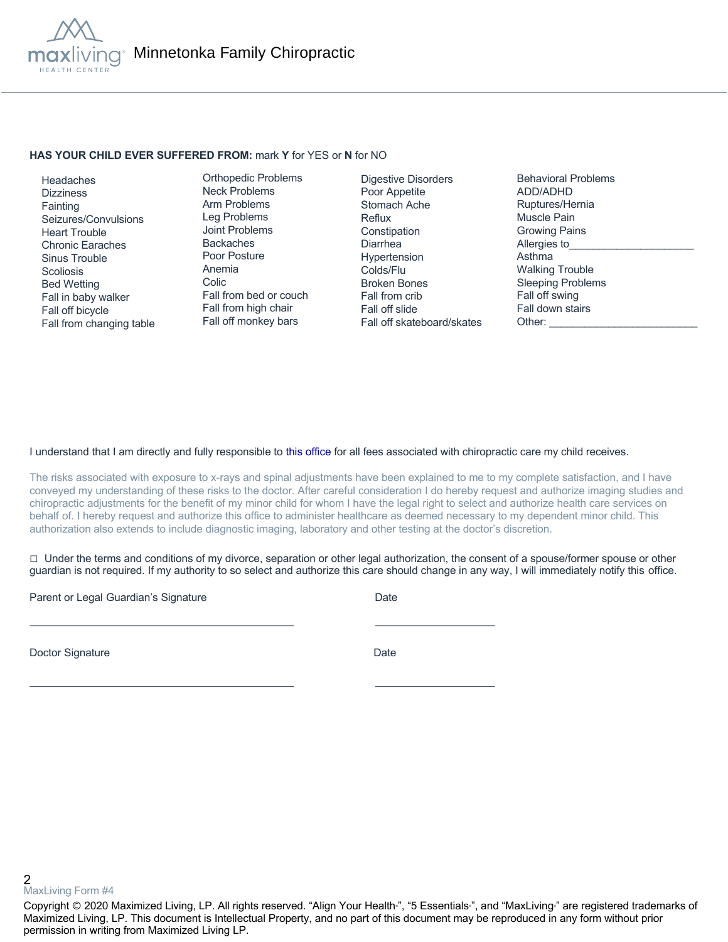

#### **HAS YOUR CHILD EVER SUFFERED FROM:** mark **Y** for YES or **N** for NO

 Headaches **Dizziness Fainting**  Seizures/Convulsions Heart Trouble Chronic Earaches Sinus Trouble **Scoliosis**  Bed Wetting Fall in baby walker Fall off bicycle Fall from changing table

Orthopedic Problems Neck Problems Arm Problems Leg Problems Joint Problems Backaches Poor Posture Anemia Colic Fall from bed or couch Fall from high chair Fall off monkey bars

Digestive Disorders Poor Appetite Stomach Ache Reflux **Constipation** Diarrhea Hypertension Colds/Flu Broken Bones Fall from crib Fall off slide Fall off skateboard/skates Behavioral Problems ADD/ADHD Ruptures/Hernia Muscle Pain Growing Pains Allergies to Asthma Walking Trouble Sleeping Problems Fall off swing Fall down stairs Other:

#### I understand that I am directly and fully responsible to this office for all fees associated with chiropractic care my child receives.

The risks associated with exposure to x-rays and spinal adjustments have been explained to me to my complete satisfaction, and I have conveyed my understanding of these risks to the doctor. After careful consideration I do hereby request and authorize imaging studies and chiropractic adjustments for the benefit of my minor child for whom I have the legal right to select and authorize health care services on behalf of. I hereby request and authorize this office to administer healthcare as deemed necessary to my dependent minor child. This authorization also extends to include diagnostic imaging, laboratory and other testing at the doctor's discretion.

 $\Box$  Under the terms and conditions of my divorce, separation or other legal authorization, the consent of a spouse/former spouse or other guardian is not required. If my authority to so select and authorize this care should change in any way, I will immediately notify this office.

Parent or Legal Guardian's Signature Date Date

Doctor Signature Date

2 MaxLiving Form #4

Copyright © 2020 Maximized Living, LP. All rights reserved. "Align Your Health<sub>"</sub>, "5 Essentials<sub>"</sub>, and "MaxLiving<sub>"</sub> are registered trademarks of Maximized Living, LP. This document is Intellectual Property, and no part of this document may be reproduced in any form without prior permission in writing from Maximized Living LP.